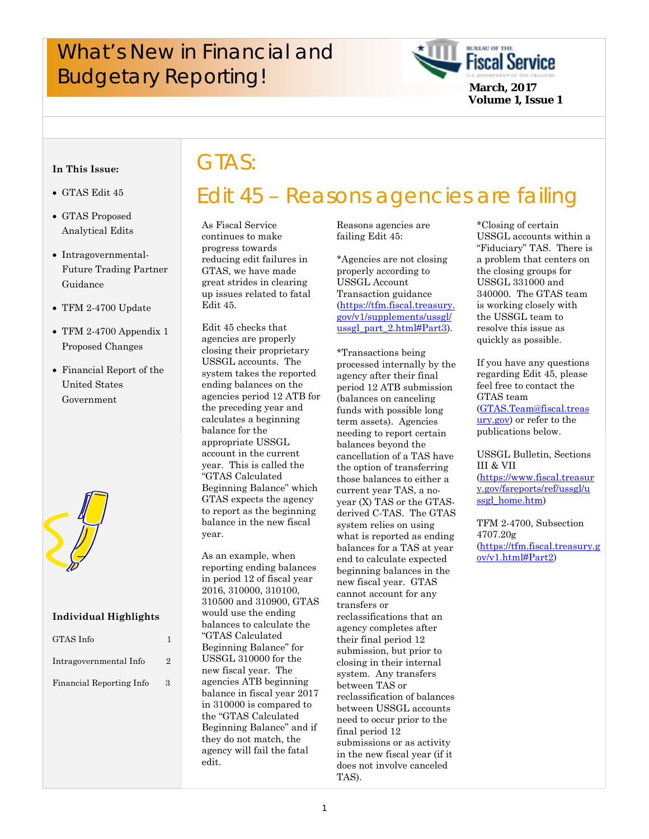## What's New in Financial and **Example 19 And School Service** Budgetary Reporting!

GTAS:



**Volume 1, Issue 1**

#### **In This Issue:**

- GTAS Edit 45
- GTAS Proposed Analytical Edits
- Intragovernmental-Future Trading Partner Guidance
- TFM 2-4700 Update
- TFM 2-4700 Appendix 1 Proposed Changes
- Financial Report of the United States Government



#### **Individual Highlights**

| GTAS Info                |                             |
|--------------------------|-----------------------------|
| Intragovernmental Info   | $\mathcal{D}_{\mathcal{L}}$ |
| Financial Reporting Info | 3                           |

## Edit 45 – Reasons agencies are failing

 great strides in clearing As Fiscal Service continues to make progress towards reducing edit failures in GTAS, we have made up issues related to fatal Edit 45.

Edit 45 checks that agencies are properly closing their proprietary USSGL accounts. The system takes the reported ending balances on the agencies period 12 ATB for the preceding year and calculates a beginning balance for the appropriate USSGL account in the current year. This is called the "GTAS Calculated Beginning Balance" which GTAS expects the agency to report as the beginning balance in the new fiscal year.

As an example, when reporting ending balances in period 12 of fiscal year 2016, 310000, 310100, 310500 and 310900, GTAS would use the ending balances to calculate the "GTAS Calculated Beginning Balance" for USSGL 310000 for the new fiscal year. The agencies ATB beginning balance in fiscal year 2017 in 310000 is compared to the "GTAS Calculated Beginning Balance" and if they do not match, the agency will fail the fatal edit.

Reasons agencies are failing Edit 45:

\*Agencies are not closing properly according to USSGL Account Transaction guidance (https://tfm.fiscal.treasury. gov/v1/supplements/ussgl/ ussgl\_part\_2.html#Part3).

\*Transactions being processed internally by the agency after their final period 12 ATB submission (balances on canceling funds with possible long term assets). Agencies needing to report certain balances beyond the cancellation of a TAS have the option of transferring those balances to either a current year TAS, a noyear (X) TAS or the GTASderived C-TAS. The GTAS system relies on using what is reported as ending balances for a TAS at year end to calculate expected beginning balances in the new fiscal year. GTAS cannot account for any transfers or reclassifications that an agency completes after their final period 12 submission, but prior to closing in their internal system. Any transfers between TAS or reclassification of balances between USSGL accounts need to occur prior to the final period 12 submissions or as activity in the new fiscal year (if it does not involve canceled TAS).

\*Closing of certain USSGL accounts within a "Fiduciary" TAS. There is a problem that centers on the closing groups for USSGL 331000 and 340000. The GTAS team is working closely with the USSGL team to resolve this issue as quickly as possible.

If you have any questions regarding Edit 45, please feel free to contact the GTAS team (GTAS.Team@fiscal.treas ury.gov) or refer to the publications below.

USSGL Bulletin, Sections III & VII

(https://www.fiscal.treasur [y.gov/fsreports/ref/ussgl/u](https://www.fiscal.treasury.gov/fsreports/ref/ussgl/ussgl_home.htm) ssgl home.htm)

TFM 2-4700, Subsection 4707.20g [\(https://tfm.fiscal.treasury.g](https://tfm.fiscal.treasury.gov/v1.html#Part2) ov/v1.html#Part2)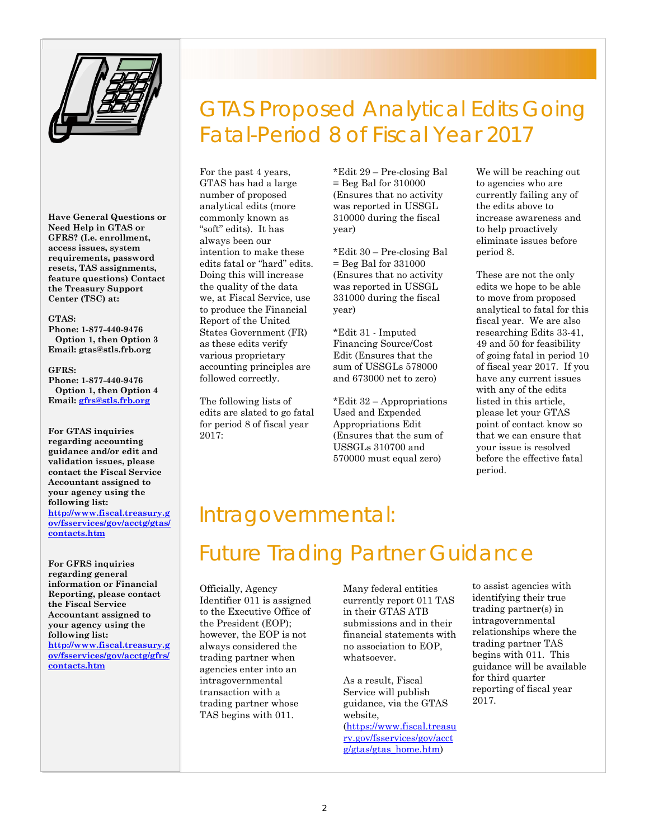

**Have General Questions or Need Help in GTAS or GFRS? (I.e. enrollment, access issues, system requirements, password resets, TAS assignments, feature questions) Contact the Treasury Support Center (TSC) at:** 

#### **GTAS:**

**Phone: 1-877-440-9476 Option 1, then Option 3 Email: gtas@stls.frb.org** 

#### **GFRS:**

**Phone: 1-877-440-9476 Option 1, then Option 4 Email: gfrs@stls.frb.org**

**For GTAS inquiries regarding accounting guidance and/or edit and validation issues, please contact the Fiscal Service Accountant assigned to your agency using the following list: http://www.fiscal.treasury.g**

**[ov/fsservices/gov/acctg/gta](http://www.fiscal.treasury.gov/fsservices/gov/acctg/gtas/contacts.htm)s/ contacts.htm**

**For GFRS inquiries regarding general information or Financial Reporting, please contact the Fiscal Service Accountant assigned to your agency using the following list: [http://www.fiscal.treasury](http://www.fiscal.treasury.gov/fsservices/gov/acctg/gfrs/contacts.htm).g ov/fsservices/gov/acctg/gfrs/ contacts.htm**

### GTAS Proposed Analytical Edits Going Fatal-Period 8 of Fiscal Year 2017

For the past 4 years, GTAS has had a large number of proposed analytical edits (more commonly known as "soft" edits). It has always been our intention to make these edits fatal or "hard" edits. Doing this will increase the quality of the data we, at Fiscal Service, use to produce the Financial Report of the United States Government (FR) as these edits verify various proprietary accounting principles are followed correctly.

The following lists of edits are slated to go fatal for period 8 of fiscal year 2017:

\*Edit 29 – Pre-closing Bal = Beg Bal for 310000 (Ensures that no activity was reported in USSGL 310000 during the fiscal year)

\*Edit 30 – Pre-closing Bal = Beg Bal for 331000 (Ensures that no activity was reported in USSGL 331000 during the fiscal year)

\*Edit 31 - Imputed Financing Source/Cost Edit (Ensures that the sum of USSGLs 578000 and 673000 net to zero)

\*Edit 32 – Appropriations Used and Expended Appropriations Edit (Ensures that the sum of USSGLs 310700 and 570000 must equal zero)

We will be reaching out to agencies who are currently failing any of the edits above to increase awareness and to help proactively eliminate issues before period 8.

These are not the only edits we hope to be able to move from proposed analytical to fatal for this fiscal year. We are also researching Edits 33-41, 49 and 50 for feasibility of going fatal in period 10 of fiscal year 2017. If you have any current issues with any of the edits listed in this article, please let your GTAS point of contact know so that we can ensure that your issue is resolved before the effective fatal period.

#### Intragovernmental:

## Future Trading Partner Guidance

Officially, Agency Identifier 011 is assigned to the Executive Office of the President (EOP); however, the EOP is not always considered the trading partner when agencies enter into an intragovernmental transaction with a trading partner whose TAS begins with 011.

Many federal entities currently report 011 TAS in their GTAS ATB submissions and in their financial statements with no association to EOP, whatsoever.

As a result, Fiscal Service will publish guidance, via the GTAS website, ([https://www.fiscal.treasu](https://www.fiscal.treasury.gov/fsservices/gov/acctg/gtas/gtas_home.htm) ry.gov/fsservices/gov/acct g/gtas/gtas\_home.htm)

to assist agencies with identifying their true trading partner(s) in intragovernmental relationships where the trading partner TAS begins with 011. This guidance will be available for third quarter reporting of fiscal year 2017.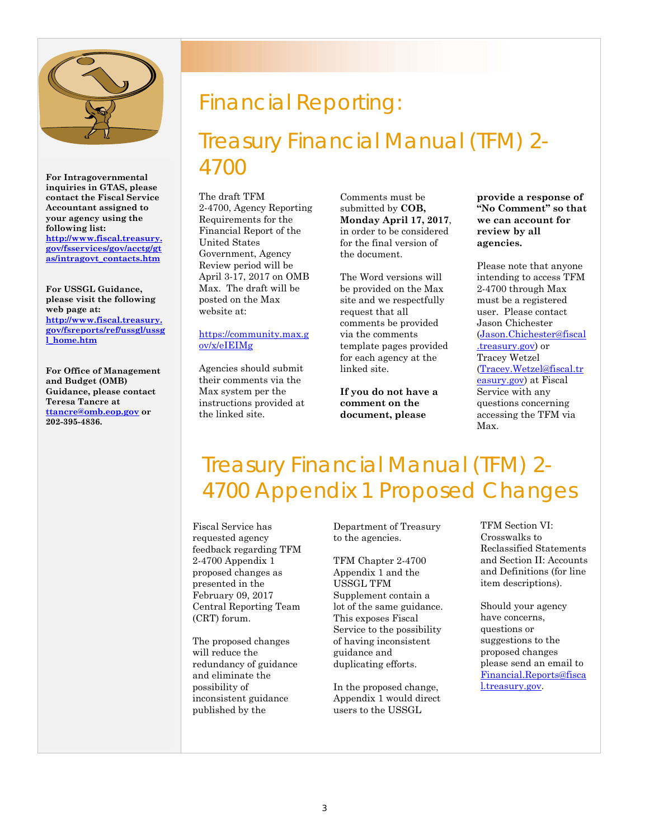

**For Intragovernmental inquiries in GTAS, please contact the Fiscal Service Accountant assigned to your agency using the following list: [http://www.fiscal.treasury.](http://www.fiscal.treasury.gov/fsservices/gov/acctg/gtas/intragovt_contacts.htm)**

**gov/fsservices/gov/acctg/gt as/intragovt\_contacts.htm**

**For USSGL Guidance, please visit the following web page at: http://www.fiscal.treasury. [gov/fsreports/ref/ussgl/ussg](http://www.fiscal.treasury.gov/fsreports/ref/ussgl/ussgl_home.htm) l\_home.htm**

**For Office of Management and Budget (OMB) Guidance, please contact Teresa Tancre at ttancre@omb.eop.gov or 202-395-4836.**

## Financial Reporting:

Treasury Financial Manual (TFM) 2- 4700

The draft TFM 2-4700, Agency Reporting Requirements for the Financial Report of the United States Government, Agency Review period will be April 3-17, 2017 on OMB Max. The draft will be posted on the Max website at:

#### [https://community.max.g](https://community.max.gov/x/eIEIMg) ov/x/eIEIMg

Agencies should submit their comments via the Max system per the instructions provided at the linked site.

Comments must be submitted by **COB, Monday April 17, 2017**, in order to be considered for the final version of the document.

The Word versions will be provided on the Max site and we respectfully request that all comments be provided via the comments template pages provided for each agency at the linked site.

**If you do not have a comment on the document, please** 

**provide a response of "No Comment" so that we can account for review by all agencies.**

Please note that anyone intending to access TFM 2-4700 through Max must be a registered user. Please contact Jason Chichester (Jason.Chichester@fiscal .treasury.gov) or Tracey Wetzel (Tracey.Wetzel@fiscal.tr easury.gov) at Fiscal Service with any questions concerning accessing the TFM via Max.

## Treasury Financial Manual (TFM) 2- 4700 Appendix 1 Proposed Changes

Fiscal Service has requested agency feedback regarding TFM 2-4700 Appendix 1 proposed changes as presented in the February 09, 2017 Central Reporting Team (CRT) forum.

The proposed changes will reduce the redundancy of guidance and eliminate the possibility of inconsistent guidance published by the

Department of Treasury to the agencies.

TFM Chapter 2-4700 Appendix 1 and the USSGL TFM Supplement contain a lot of the same guidance. This exposes Fiscal Service to the possibility of having inconsistent guidance and duplicating efforts.

In the proposed change, Appendix 1 would direct users to the USSGL

TFM Section VI: Crosswalks to Reclassified Statements and Section II: Accounts and Definitions (for line item descriptions).

Should your agency have concerns, questions or suggestions to the proposed changes please send an email to Financial.Reports@fisca l.treasury.gov.